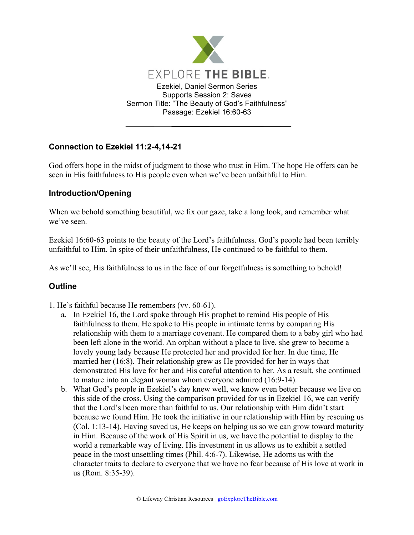

## **Connection to Ezekiel 11:2-4,14-21**

God offers hope in the midst of judgment to those who trust in Him. The hope He offers can be seen in His faithfulness to His people even when we've been unfaithful to Him.

## **Introduction/Opening**

When we behold something beautiful, we fix our gaze, take a long look, and remember what we've seen.

Ezekiel 16:60-63 points to the beauty of the Lord's faithfulness. God's people had been terribly unfaithful to Him. In spite of their unfaithfulness, He continued to be faithful to them.

As we'll see, His faithfulness to us in the face of our forgetfulness is something to behold!

## **Outline**

- 1. He's faithful because He remembers (vv. 60-61).
	- a. In Ezekiel 16, the Lord spoke through His prophet to remind His people of His faithfulness to them. He spoke to His people in intimate terms by comparing His relationship with them to a marriage covenant. He compared them to a baby girl who had been left alone in the world. An orphan without a place to live, she grew to become a lovely young lady because He protected her and provided for her. In due time, He married her (16:8). Their relationship grew as He provided for her in ways that demonstrated His love for her and His careful attention to her. As a result, she continued to mature into an elegant woman whom everyone admired (16:9-14).
	- b. What God's people in Ezekiel's day knew well, we know even better because we live on this side of the cross. Using the comparison provided for us in Ezekiel 16, we can verify that the Lord's been more than faithful to us. Our relationship with Him didn't start because we found Him. He took the initiative in our relationship with Him by rescuing us (Col. 1:13-14). Having saved us, He keeps on helping us so we can grow toward maturity in Him. Because of the work of His Spirit in us, we have the potential to display to the world a remarkable way of living. His investment in us allows us to exhibit a settled peace in the most unsettling times (Phil. 4:6-7). Likewise, He adorns us with the character traits to declare to everyone that we have no fear because of His love at work in us (Rom. 8:35-39).